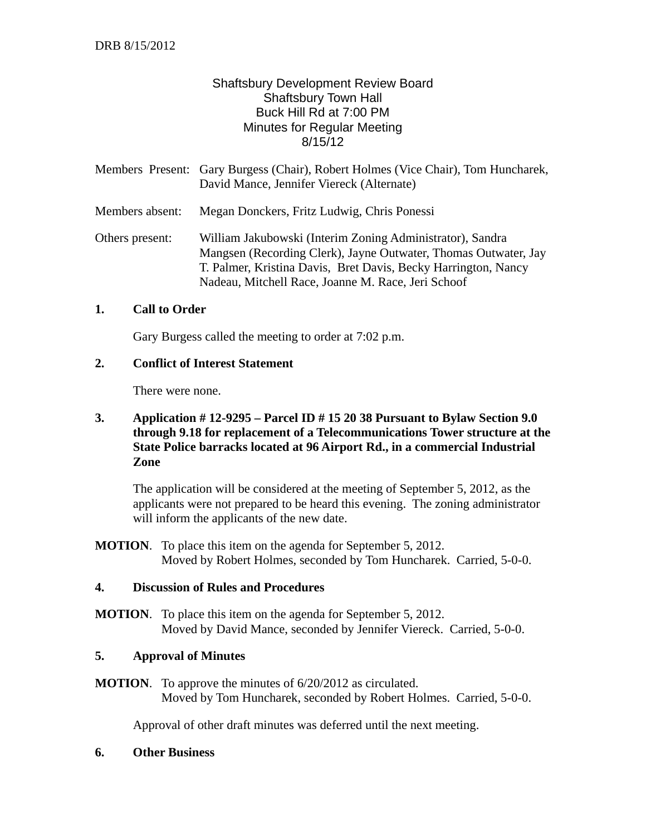# Shaftsbury Development Review Board Shaftsbury Town Hall Buck Hill Rd at 7:00 PM Minutes for Regular Meeting 8/15/12

|                 | Members Present: Gary Burgess (Chair), Robert Holmes (Vice Chair), Tom Huncharek,<br>David Mance, Jennifer Viereck (Alternate)                                                                                                                       |
|-----------------|------------------------------------------------------------------------------------------------------------------------------------------------------------------------------------------------------------------------------------------------------|
| Members absent: | Megan Donckers, Fritz Ludwig, Chris Ponessi                                                                                                                                                                                                          |
| Others present: | William Jakubowski (Interim Zoning Administrator), Sandra<br>Mangsen (Recording Clerk), Jayne Outwater, Thomas Outwater, Jay<br>T. Palmer, Kristina Davis, Bret Davis, Becky Harrington, Nancy<br>Nadeau, Mitchell Race, Joanne M. Race, Jeri Schoof |

### **1. Call to Order**

Gary Burgess called the meeting to order at 7:02 p.m.

### **2. Conflict of Interest Statement**

There were none.

## **3. Application # 12-9295 – Parcel ID # 15 20 38 Pursuant to Bylaw Section 9.0 through 9.18 for replacement of a Telecommunications Tower structure at the State Police barracks located at 96 Airport Rd., in a commercial Industrial Zone**

The application will be considered at the meeting of September 5, 2012, as the applicants were not prepared to be heard this evening. The zoning administrator will inform the applicants of the new date.

**MOTION**. To place this item on the agenda for September 5, 2012. Moved by Robert Holmes, seconded by Tom Huncharek. Carried, 5-0-0.

### **4. Discussion of Rules and Procedures**

**MOTION**. To place this item on the agenda for September 5, 2012. Moved by David Mance, seconded by Jennifer Viereck. Carried, 5-0-0.

#### **5. Approval of Minutes**

**MOTION**. To approve the minutes of 6/20/2012 as circulated. Moved by Tom Huncharek, seconded by Robert Holmes. Carried, 5-0-0.

Approval of other draft minutes was deferred until the next meeting.

#### **6. Other Business**